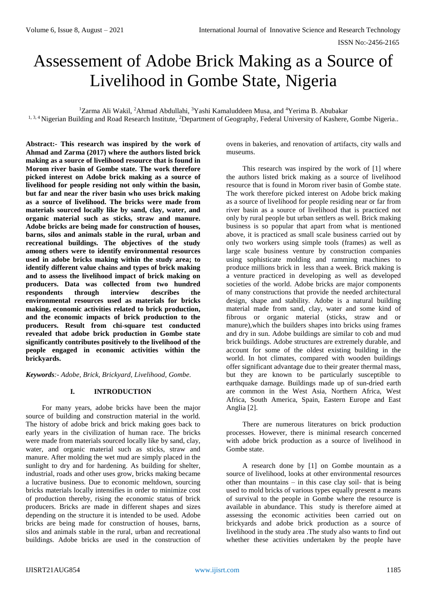ISSN No:-2456-2165

# Assessement of Adobe Brick Making as a Source of Livelihood in Gombe State, Nigeria

<sup>1</sup>Zarma Ali Wakil, <sup>2</sup>Ahmad Abdullahi, <sup>3</sup>Yashi Kamaluddeen Musa, and <sup>4</sup>Yerima B. Abubakar <sup>1, 3, 4</sup> Nigerian Building and Road Research Institute, <sup>2</sup>Department of Geography, Federal University of Kashere, Gombe Nigeria..

**Abstract:- This research was inspired by the work of Ahmad and Zarma (2017) where the authors listed brick making as a source of livelihood resource that is found in Morom river basin of Gombe state. The work therefore picked interest on Adobe brick making as a source of livelihood for people residing not only within the basin, but far and near the river basin who uses brick making as a source of livelihood. The bricks were made from materials sourced locally like by sand, clay, water, and organic material such as sticks, straw and manure. Adobe bricks are being made for construction of houses, barns, silos and animals stable in the rural, urban and recreational buildings. The objectives of the study among others were to identify environmental resources used in adobe bricks making within the study area; to identify different value chains and types of brick making and to assess the livelihood impact of brick making on producers. Data was collected from two hundred respondents through interview describes the environmental resources used as materials for bricks making, economic activities related to brick production, and the economic impacts of brick production to the producers. Result from chi-square test conducted revealed that adobe brick production in Gombe state significantly contributes positively to the livelihood of the people engaged in economic activities within the brickyards.**

*Keywords:- Adobe, Brick, Brickyard, Livelihood, Gombe.*

# **I. INTRODUCTION**

For many years, adobe bricks have been the major source of building and construction material in the world. The history of adobe brick and brick making goes back to early years in the civilization of human race. The bricks were made from materials sourced locally like by sand, clay, water, and organic material such as sticks, straw and manure. After molding the wet mud are simply placed in the sunlight to dry and for hardening. As building for shelter, industrial, roads and other uses grow, bricks making became a lucrative business. Due to economic meltdown, sourcing bricks materials locally intensifies in order to minimize cost of production thereby, rising the economic status of brick producers. Bricks are made in different shapes and sizes depending on the structure it is intended to be used. Adobe bricks are being made for construction of houses, barns, silos and animals stable in the rural, urban and recreational buildings. Adobe bricks are used in the construction of

ovens in bakeries, and renovation of artifacts, city walls and museums.

This research was inspired by the work of [1] where the authors listed brick making as a source of livelihood resource that is found in Morom river basin of Gombe state. The work therefore picked interest on Adobe brick making as a source of livelihood for people residing near or far from river basin as a source of livelihood that is practiced not only by rural people but urban settlers as well. Brick making business is so popular that apart from what is mentioned above, it is practiced as small scale business carried out by only two workers using simple tools (frames) as well as large scale business venture by construction companies using sophisticate molding and ramming machines to produce millions brick in less than a week. Brick making is a venture practiced in developing as well as developed societies of the world. Adobe bricks are major components of many constructions that provide the needed architectural design, shape and stability. Adobe is a natural building material made from sand, clay, water and some kind of fibrous or organic material (sticks, straw and or manure),which the builders shapes into bricks using frames and dry in sun. Adobe buildings are similar to cob and mud brick buildings. Adobe structures are extremely durable, and account for some of the oldest existing building in the world. In hot climates, compared with wooden buildings offer significant advantage due to their greater thermal mass, but they are known to be particularly susceptible to earthquake damage. Buildings made up of sun-dried earth are common in the West Asia, Northern Africa, West Africa, South America, Spain, Eastern Europe and East Anglia [2].

There are numerous literatures on brick production processes. However, there is minimal research concerned with adobe brick production as a source of livelihood in Gombe state.

A research done by [1] on Gombe mountain as a source of livelihood, looks at other environmental resources other than mountains – in this case clay soil- that is being used to mold bricks of various types equally present a means of survival to the people in Gombe where the resource is available in abundance. This study is therefore aimed at assessing the economic activities been carried out on brickyards and adobe brick production as a source of livelihood in the study area .The study also wants to find out whether these activities undertaken by the people have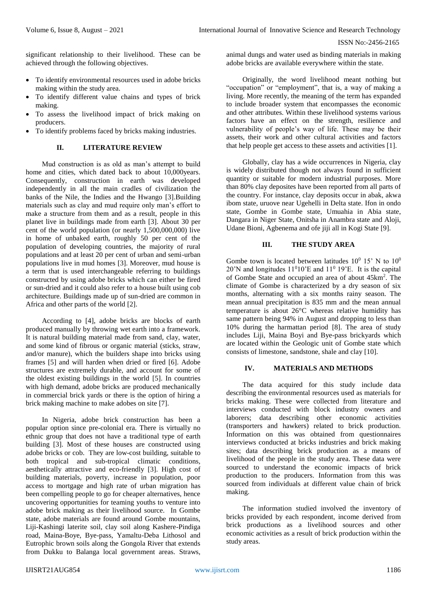significant relationship to their livelihood. These can be achieved through the following objectives.

- To identify environmental resources used in adobe bricks making within the study area.
- To identify different value chains and types of brick making.
- To assess the livelihood impact of brick making on producers.
- To identify problems faced by bricks making industries.

## **II. LITERATURE REVIEW**

Mud construction is as old as man's attempt to build home and cities, which dated back to about 10,000years. Consequently, construction in earth was developed independently in all the main cradles of civilization the banks of the Nile, the Indies and the Hwango [3].Building materials such as clay and mud require only man's effort to make a structure from them and as a result, people in this planet live in buildings made from earth [3]. About 30 per cent of the world population (or nearly 1,500,000,000) live in home of unbaked earth, roughly 50 per cent of the population of developing countries, the majority of rural populations and at least 20 per cent of urban and semi-urban populations live in mud homes [3]. Moreover, mud house is a term that is used interchangeable referring to buildings constructed by using adobe bricks which can either be fired or sun-dried and it could also refer to a house built using cob architecture. Buildings made up of sun-dried are common in Africa and other parts of the world [2].

According to [4], adobe bricks are blocks of earth produced manually by throwing wet earth into a framework. It is natural building material made from sand, clay, water, and some kind of fibrous or organic material (sticks, straw, and/or manure), which the builders shape into bricks using frames [5] and will harden when dried or fired [6]. Adobe structures are extremely durable, and account for some of the oldest existing buildings in the world [5]. In countries with high demand, adobe bricks are produced mechanically in commercial brick yards or there is the option of hiring a brick making machine to make adobes on site [7].

In Nigeria, adobe brick construction has been a popular option since pre-colonial era. There is virtually no ethnic group that does not have a traditional type of earth building [3]. Most of these houses are constructed using adobe bricks or cob. They are low-cost building, suitable to both tropical and sub-tropical climatic conditions, aesthetically attractive and eco-friendly [3]. High cost of building materials, poverty, increase in population, poor access to mortgage and high rate of urban migration has been compelling people to go for cheaper alternatives, hence uncovering opportunities for teaming youths to venture into adobe brick making as their livelihood source. In Gombe state, adobe materials are found around Gombe mountains, Liji-Kashingi laterite soil, clay soil along Kashere-Pindiga road, Maina-Boye, Bye-pass, Yamaltu-Deba Lithosol and Eutrophic brown soils along the Gongola River that extends from Dukku to Balanga local government areas. Straws,

animal dungs and water used as binding materials in making adobe bricks are available everywhere within the state.

Originally, the word livelihood meant nothing but "occupation" or "employment", that is, a way of making a living. More recently, the meaning of the term has expanded to include broader system that encompasses the economic and other attributes. Within these livelihood systems various factors have an effect on the strength, resilience and vulnerability of people's way of life. These may be their assets, their work and other cultural activities and factors that help people get access to these assets and activities [1].

Globally, clay has a wide occurrences in Nigeria, clay is widely distributed though not always found in sufficient quantity or suitable for modern industrial purposes. More than 80% clay deposites have been reported from all parts of the country. For instance, clay deposits occur in abak, akwa ibom state, uruove near Ugehelli in Delta state. Ifon in ondo state, Gombe in Gombe state, Umuahia in Abia state, Dangara in Niger State, Onitsha in Anambra state and Aloji, Udane Bioni, Agbenema and ofe jiji all in Kogi State [9].

## **III. THE STUDY AREA**

Gombe town is located between latitudes  $10^0$  15' N to  $10^0$ 20'N and longitudes  $11^010$ 'E and  $11^019$ 'E. It is the capital of Gombe State and occupied an area of about 45km<sup>2</sup> . The climate of Gombe is characterized by a dry season of six months, alternating with a six months rainy season. The mean annual precipitation is 835 mm and the mean annual temperature is about 26°C whereas relative humidity has same pattern being 94% in August and dropping to less than 10% during the harmattan period [8]. The area of study includes Liji, Maina Boyi and Bye-pass brickyards which are located within the Geologic unit of Gombe state which consists of limestone, sandstone, shale and clay [10].

# **IV. MATERIALS AND METHODS**

The data acquired for this study include data describing the environmental resources used as materials for bricks making. These were collected from literature and interviews conducted with block industry owners and laborers; data describing other economic activities (transporters and hawkers) related to brick production. Information on this was obtained from questionnaires interviews conducted at bricks industries and brick making sites; data describing brick production as a means of livelihood of the people in the study area. These data were sourced to understand the economic impacts of brick production to the producers. Information from this was sourced from individuals at different value chain of brick making.

The information studied involved the inventory of bricks provided by each respondent, income derived from brick productions as a livelihood sources and other economic activities as a result of brick production within the study areas.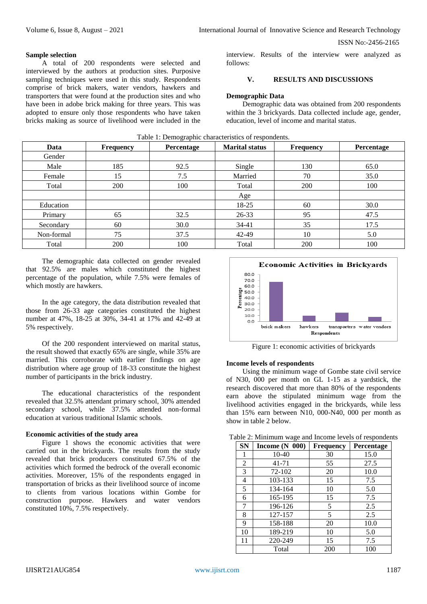## ISSN No:-2456-2165

#### **Sample selection**

A total of 200 respondents were selected and interviewed by the authors at production sites. Purposive sampling techniques were used in this study. Respondents comprise of brick makers, water vendors, hawkers and transporters that were found at the production sites and who have been in adobe brick making for three years. This was adopted to ensure only those respondents who have taken bricks making as source of livelihood were included in the interview. Results of the interview were analyzed as follows:

# **V. RESULTS AND DISCUSSIONS**

#### **Demographic Data**

Demographic data was obtained from 200 respondents within the 3 brickyards. Data collected include age, gender, education, level of income and marital status.

| Data       | <b>Frequency</b> | <b>Percentage</b> | <b>Marital status</b> | <b>Frequency</b> | Percentage |
|------------|------------------|-------------------|-----------------------|------------------|------------|
| Gender     |                  |                   |                       |                  |            |
| Male       | 185              | 92.5              | Single                | 130              | 65.0       |
| Female     | 15               | 7.5               | Married               | 70               | 35.0       |
| Total      | 200              | 100               | Total                 | 200              | 100        |
|            |                  |                   | Age                   |                  |            |
| Education  |                  |                   | 18-25                 | 60               | 30.0       |
| Primary    | 65               | 32.5              | $26 - 33$             | 95               | 47.5       |
| Secondary  | 60               | 30.0              | $34 - 41$             | 35               | 17.5       |
| Non-formal | 75               | 37.5              | 42-49                 | 10               | 5.0        |
| Total      | 200              | 100               | Total                 | 200              | 100        |

# Table 1: Demographic characteristics of respondents.

The demographic data collected on gender revealed that 92.5% are males which constituted the highest percentage of the population, while 7.5% were females of which mostly are hawkers.

In the age category, the data distribution revealed that those from 26-33 age categories constituted the highest number at 47%, 18-25 at 30%, 34-41 at 17% and 42-49 at 5% respectively.

Of the 200 respondent interviewed on marital status, the result showed that exactly 65% are single, while 35% are married. This corroborate with earlier findings on age distribution where age group of 18-33 constitute the highest number of participants in the brick industry.

The educational characteristics of the respondent revealed that 32.5% attendant primary school, 30% attended secondary school, while 37.5% attended non-formal education at various traditional Islamic schools.

#### **Economic activities of the study area**

Figure 1 shows the economic activities that were carried out in the brickyards. The results from the study revealed that brick producers constituted 67.5% of the activities which formed the bedrock of the overall economic activities. Moreover, 15% of the respondents engaged in transportation of bricks as their livelihood source of income to clients from various locations within Gombe for construction purpose. Hawkers and water vendors constituted 10%, 7.5% respectively.



Figure 1: economic activities of brickyards

## **Income levels of respondents**

Using the minimum wage of Gombe state civil service of N30, 000 per month on GL 1-15 as a yardstick, the research discovered that more than 80% of the respondents earn above the stipulated minimum wage from the livelihood activities engaged in the brickyards, while less than 15% earn between N10, 000-N40, 000 per month as show in table 2 below.

| <b>SN</b> | Income $(N 000)$ | <b>Frequency</b> | Percentage |  |
|-----------|------------------|------------------|------------|--|
| 1         | $10-40$          | 30               | 15.0       |  |
| 2         | $41 - 71$        | 55               | 27.5       |  |
| 3         | 72-102           | 20               | 10.0       |  |
| 4         | 103-133          | 15               | 7.5        |  |
| 5         | 134-164          | 10               | 5.0        |  |
| 6         | 165-195          | 15               | 7.5        |  |
| 7         | 196-126          | 5                | 2.5        |  |
| 8         | 127-157          | 5                | 2.5        |  |
| 9         | 158-188          | 20               | 10.0       |  |
| 10        | 189-219          | 10               | 5.0        |  |
| 11        | 220-249          | 15               | 7.5        |  |
|           | Total            | 200              | 100        |  |

Table 2: Minimum wage and Income levels of respondents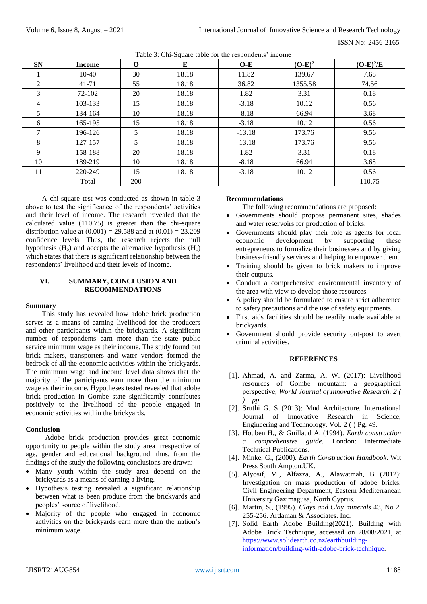| <b>SN</b>     | <b>Income</b> | $\mathbf 0$ | Е     | $O-E$    | $(O-E)^2$ | $(O-E)^2/E$ |
|---------------|---------------|-------------|-------|----------|-----------|-------------|
|               | $10-40$       | 30          | 18.18 | 11.82    | 139.67    | 7.68        |
| 2             | $41 - 71$     | 55          | 18.18 | 36.82    | 1355.58   | 74.56       |
| 3             | 72-102        | 20          | 18.18 | 1.82     | 3.31      | 0.18        |
| 4             | 103-133       | 15          | 18.18 | $-3.18$  | 10.12     | 0.56        |
| 5             | 134-164       | 10          | 18.18 | $-8.18$  | 66.94     | 3.68        |
| 6             | 165-195       | 15          | 18.18 | $-3.18$  | 10.12     | 0.56        |
| $\mathcal{I}$ | 196-126       | 5           | 18.18 | $-13.18$ | 173.76    | 9.56        |
| 8             | 127-157       | 5           | 18.18 | $-13.18$ | 173.76    | 9.56        |
| 9             | 158-188       | 20          | 18.18 | 1.82     | 3.31      | 0.18        |
| 10            | 189-219       | 10          | 18.18 | $-8.18$  | 66.94     | 3.68        |
| 11            | 220-249       | 15          | 18.18 | $-3.18$  | 10.12     | 0.56        |
|               | Total         | 200         |       |          |           | 110.75      |

Table 3: Chi-Square table for the respondents' income

A chi-square test was conducted as shown in table 3 above to test the significance of the respondents' activities and their level of income. The research revealed that the calculated value (110.75) is greater than the chi-square distribution value at  $(0.001) = 29.588$  and at  $(0.01) = 23.209$ confidence levels. Thus, the research rejects the null hypothesis  $(H_0)$  and accepts the alternative hypothesis  $(H_1)$ which states that there is significant relationship between the respondents' livelihood and their levels of income.

# **VI. SUMMARY, CONCLUSION AND RECOMMENDATIONS**

#### **Summary**

This study has revealed how adobe brick production serves as a means of earning livelihood for the producers and other participants within the brickyards. A significant number of respondents earn more than the state public service minimum wage as their income. The study found out brick makers, transporters and water vendors formed the bedrock of all the economic activities within the brickyards. The minimum wage and income level data shows that the majority of the participants earn more than the minimum wage as their income. Hypotheses tested revealed that adobe brick production in Gombe state significantly contributes positively to the livelihood of the people engaged in economic activities within the brickyards.

# **Conclusion**

Adobe brick production provides great economic opportunity to people within the study area irrespective of age, gender and educational background. thus, from the findings of the study the following conclusions are drawn:

- Many youth within the study area depend on the brickyards as a means of earning a living.
- Hypothesis testing revealed a significant relationship between what is been produce from the brickyards and peoples' source of livelihood.
- Majority of the people who engaged in economic activities on the brickyards earn more than the nation's minimum wage.

## **Recommendations**

The following recommendations are proposed:

- Governments should propose permanent sites, shades and water reservoirs for production of bricks.
- Governments should play their role as agents for local economic development by supporting these entrepreneurs to formalize their businesses and by giving business-friendly services and helping to empower them.
- Training should be given to brick makers to improve their outputs.
- Conduct a comprehensive environmental inventory of the area with view to develop those resources.
- A policy should be formulated to ensure strict adherence to safety precautions and the use of safety equipments.
- First aids facilities should be readily made available at brickyards.
- Government should provide security out-post to avert criminal activities.

#### **REFERENCES**

- [1]. Ahmad, A. and Zarma, A. W. (2017): Livelihood resources of Gombe mountain: a geographical perspective*, World Journal of Innovative Research. 2 ( ) pp*
- [2]. Sruthi G. S (2013): Mud Architecture. International Journal of Innovative Research in Science, Engineering and Technology. Vol. 2 ( ) Pg. 49.
- [3]. Houben H., & Guillaud A. (1994). *Earth construction a comprehensive guide.* London: Intermediate Technical Publications.
- [4]. Minke, G., (2000). *Earth Construction Handbook*. Wit Press South Ampton.UK.
- [5]. Alyosif, M., Alfazza, A., Alawatmah, B (2012): Investigation on mass production of adobe bricks. Civil Engineering Department, Eastern Mediterranean University Gazimagusa, North Cyprus.
- [6]. Martin, S., (1995). *Clays and Clay minerals* 43, No 2. 255-256. Ardaman & Associates. Inc.
- [7]. Solid Earth Adobe Building(2021). Building with Adobe Brick Technique, accessed on 28/08/2021, at [https://www.solidearth.co.nz/earthbuilding](https://www.solidearth.co.nz/earthbuilding-information/building-with-adobe-brick-technique)[information/building-with-adobe-brick-technique.](https://www.solidearth.co.nz/earthbuilding-information/building-with-adobe-brick-technique)